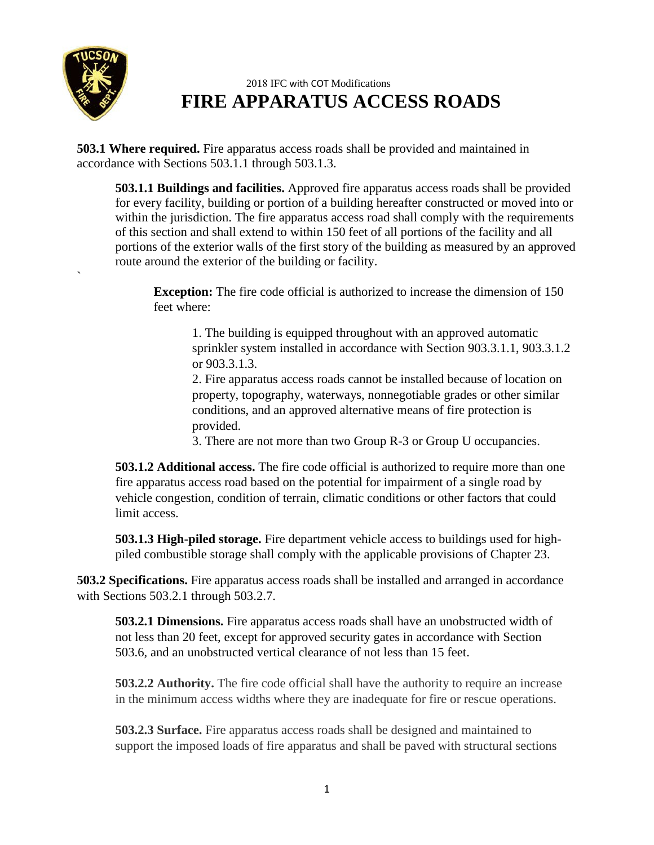

**`** 

## 2018 IFC with COT Modifications **FIRE APPARATUS ACCESS ROADS**

**503.1 Where required.** Fire apparatus access roads shall be provided and maintained in accordance with Sections 503.1.1 through 503.1.3.

**503.1.1 Buildings and facilities.** Approved fire apparatus access roads shall be provided for every facility, building or portion of a building hereafter constructed or moved into or within the jurisdiction. The fire apparatus access road shall comply with the requirements of this section and shall extend to within 150 feet of all portions of the facility and all portions of the exterior walls of the first story of the building as measured by an approved route around the exterior of the building or facility.

**Exception:** The fire code official is authorized to increase the dimension of 150 feet where:

1. The building is equipped throughout with an approved automatic sprinkler system installed in accordance with Section 903.3.1.1, 903.3.1.2 or 903.3.1.3.

2. Fire apparatus access roads cannot be installed because of location on property, topography, waterways, nonnegotiable grades or other similar conditions, and an approved alternative means of fire protection is provided.

3. There are not more than two Group R-3 or Group U occupancies.

**503.1.2 Additional access.** The fire code official is authorized to require more than one fire apparatus access road based on the potential for impairment of a single road by vehicle congestion, condition of terrain, climatic conditions or other factors that could limit access.

**503.1.3 High-piled storage.** Fire department vehicle access to buildings used for highpiled combustible storage shall comply with the applicable provisions of Chapter 23.

**503.2 Specifications.** Fire apparatus access roads shall be installed and arranged in accordance with Sections 503.2.1 through 503.2.7.

**503.2.1 Dimensions.** Fire apparatus access roads shall have an unobstructed width of not less than 20 feet, except for approved security gates in accordance with Section 503.6, and an unobstructed vertical clearance of not less than 15 feet.

**503.2.2 Authority.** The fire code official shall have the authority to require an increase in the minimum access widths where they are inadequate for fire or rescue operations.

**503.2.3 Surface.** Fire apparatus access roads shall be designed and maintained to support the imposed loads of fire apparatus and shall be paved with structural sections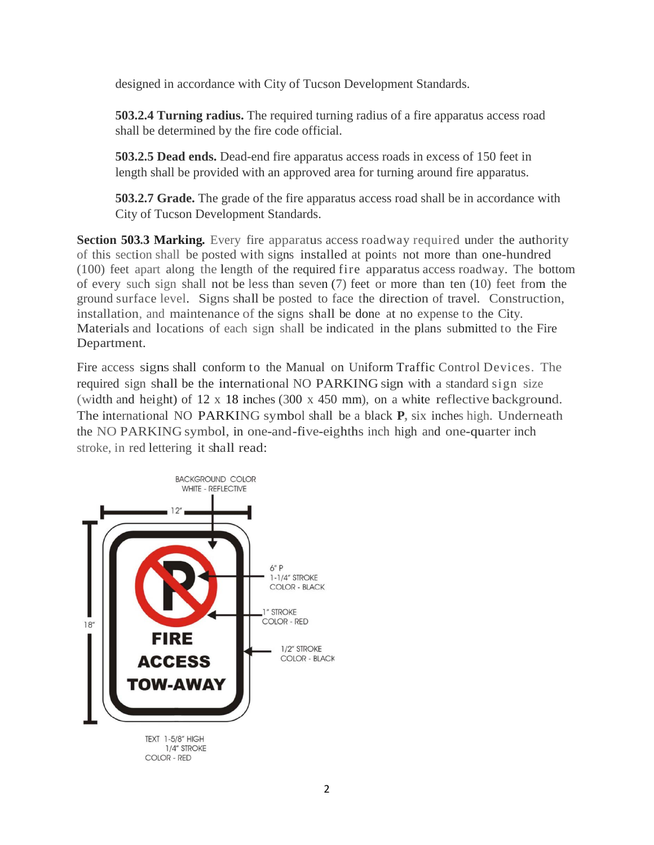designed in accordance with City of Tucson Development Standards.

**503.2.4 Turning radius.** The required turning radius of a fire apparatus access road shall be determined by the fire code official.

**503.2.5 Dead ends.** Dead-end fire apparatus access roads in excess of 150 feet in length shall be provided with an approved area for turning around fire apparatus.

**503.2.7 Grade.** The grade of the fire apparatus access road shall be in accordance with City of Tucson Development Standards.

**Section 503.3 Marking.** Every fire apparatus access roadway required under the authority of this section shall be posted with signs installed at points not more than one-hundred (100) feet apart along the length of the required fire apparatus access roadway. The bottom of every such sign shall not be less than seven (7) feet or more than ten (10) feet from the ground surface level. Signs shall be posted to face the direction of travel. Construction, installation, and maintenance of the signs shall be done at no expense to the City. Materials and locations of each sign shall be indicated in the plans submitted to the Fire Department.

Fire access signs shall conform to the Manual on Uniform Traffic Control Devices. The required sign shall be the international NO PARKING sign with a standard sign size (width and height) of 12 x 18 inches (300 x 450 mm), on a white reflective background. The international NO PARKING symbol shall be a black **P,** six inches high. Underneath the NO PARKING symbol, in one-and-five-eighths inch high and one-quarter inch stroke, in red lettering it shall read:

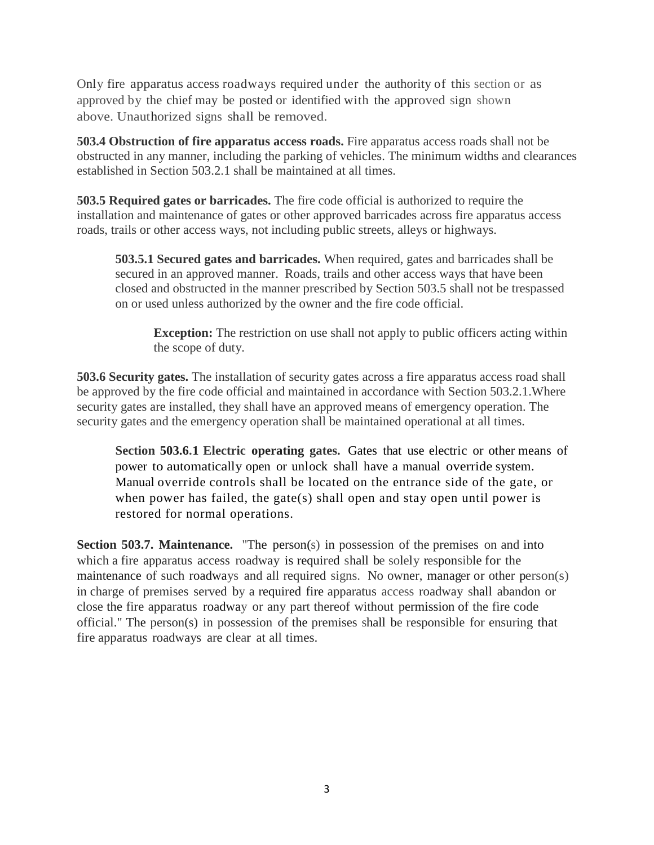Only fire apparatus access roadways required under the authority of this section or as approved by the chief may be posted or identified with the approved sign shown above. Unauthorized signs shall be removed.

**503.4 Obstruction of fire apparatus access roads.** Fire apparatus access roads shall not be obstructed in any manner, including the parking of vehicles. The minimum widths and clearances established in Section 503.2.1 shall be maintained at all times.

**503.5 Required gates or barricades.** The fire code official is authorized to require the installation and maintenance of gates or other approved barricades across fire apparatus access roads, trails or other access ways, not including public streets, alleys or highways.

**503.5.1 Secured gates and barricades.** When required, gates and barricades shall be secured in an approved manner. Roads, trails and other access ways that have been closed and obstructed in the manner prescribed by Section 503.5 shall not be trespassed on or used unless authorized by the owner and the fire code official.

**Exception:** The restriction on use shall not apply to public officers acting within the scope of duty.

**503.6 Security gates.** The installation of security gates across a fire apparatus access road shall be approved by the fire code official and maintained in accordance with Section 503.2.1.Where security gates are installed, they shall have an approved means of emergency operation. The security gates and the emergency operation shall be maintained operational at all times.

**Section 503.6.1 Electric operating gates.** Gates that use electric or other means of power to automatically open or unlock shall have a manual override system. Manual override controls shall be located on the entrance side of the gate, or when power has failed, the gate(s) shall open and stay open until power is restored for normal operations.

**Section 503.7. Maintenance.** "The person(s) in possession of the premises on and into which a fire apparatus access roadway is required shall be solely responsible for the maintenance of such roadways and all required signs. No owner, manager or other person(s) in charge of premises served by a required fire apparatus access roadway shall abandon or close the fire apparatus roadway or any part thereof without permission of the fire code official." The person(s) in possession of the premises shall be responsible for ensuring that fire apparatus roadways are clear at all times.